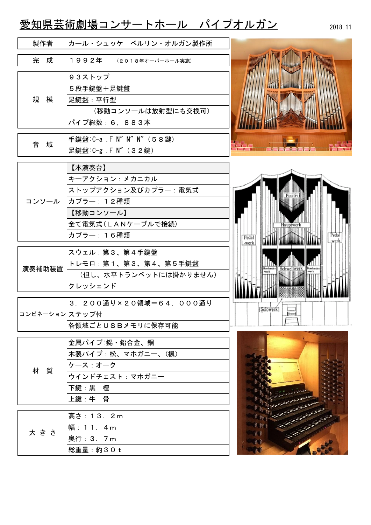## 愛知県芸術劇場コンサートホール パイプオルガン

2018.11

| 製作者            | カール・シュッケ ベルリン・オルガン製作所                                                                                         |                                                                      |
|----------------|---------------------------------------------------------------------------------------------------------------|----------------------------------------------------------------------|
| 完成             | 1992年<br>(2018年オーバーホール実施)                                                                                     |                                                                      |
| 規<br>模         | 93ストップ<br>5段手鍵盤+足鍵盤<br>足鍵盤:平行型<br>(移動コンソールは放射型にも交換可)<br>パイプ総数: 6, 883本                                        |                                                                      |
| 音<br>域         | 手鍵盤: C-a . F N" N" N" (58鍵)<br>足鍵盤: C-g F N" (32鍵)                                                            | 4747                                                                 |
| コンソール          | 【本演奏台】<br>キーアクション:メカニカル<br>ストップアクション及びカプラー:電気式<br>┃カプラー:12種類<br>【移動コンソール】<br>全て電気式 (LANケーブルで接続)<br>カプラー: 16種類 | Hauptwerk<br>Pedal<br>Pedal<br>-werk<br><b>MARINE AND A</b><br>-werk |
| 演奏補助装置         | スウェル:第3、第4手鍵盤<br>トレモロ:第1、第3、第4、第5手鍵盤<br>(但し、水平トランペットには掛かりません)<br>クレッシェンド                                      | Schwellwerk Bonhanden<br><b>Hombarden</b><br><b>ANTISE STILLE</b>    |
| コンビネーション ステップ付 | 3. 200通り×20領域=64, 000通り<br>各領域ごとUSBメモリに保存可能                                                                   | Solowerk]                                                            |
| 材<br>質         | 金属パイプ:錫·鉛合金、銅<br>木製パイプ:松、マホガニー、(楓)<br>ケース:オーク<br>ウインドチェスト: マホガニー<br>下鍵:黒 檀<br>上鍵:牛 骨                          |                                                                      |
| 大きさ            | 高さ: 13. 2m<br>幅: 11. 4m<br>奥行: 3. 7m<br>総重量:約30t                                                              | A Marian<br><b>CONTRACTOR</b>                                        |